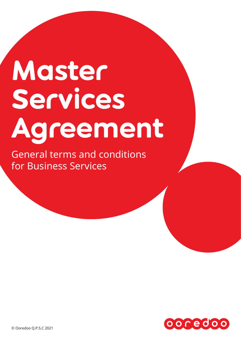# Master Services Agreement

General terms and conditions for Business Services

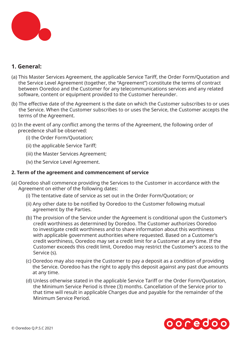

# **1. General:**

- (a) This Master Services Agreement, the applicable Service Tariff, the Order Form/Quotation and the Service Level Agreement (together, the "Agreement") constitute the terms of contract between Ooredoo and the Customer for any telecommunications services and any related software, content or equipment provided to the Customer hereunder.
- (b) The effective date of the Agreement is the date on which the Customer subscribes to or uses the Service. When the Customer subscribes to or uses the Service, the Customer accepts the terms of the Agreement.
- (c) In the event of any conflict among the terms of the Agreement, the following order of precedence shall be observed:
	- (i) the Order Form/Quotation;
	- (ii) the applicable Service Tariff;
	- (iii) the Master Services Agreement;
	- (iv) the Service Level Agreement.

# **2. Term of the agreement and commencement of service**

- (a) Ooredoo shall commence providing the Services to the Customer in accordance with the Agreement on either of the following dates:
	- (i) The tentative date of service as set out in the Order Form/Quotation; or
	- (ii) Any other date to be notified by Ooredoo to the Customer following mutual agreement by the Parties.
	- (b) The provision of the Service under the Agreement is conditional upon the Customer's credit worthiness as determined by Ooredoo. The Customer authorizes Ooredoo to investigate credit worthiness and to share information about this worthiness with applicable government authorities where requested. Based on a Customer's credit worthiness, Ooredoo may set a credit limit for a Customer at any time. If the Customer exceeds this credit limit, Ooredoo may restrict the Customer's access to the Service (s).
	- (c) Ooredoo may also require the Customer to pay a deposit as a condition of providing the Service. Ooredoo has the right to apply this deposit against any past due amounts at any time.
	- (d) Unless otherwise stated in the applicable Service Tariff or the Order Form/Quotation, the Minimum Service Period is three (3) months. Cancellation of the Service prior to that time will result in applicable Charges due and payable for the remainder of the Minimum Service Period.

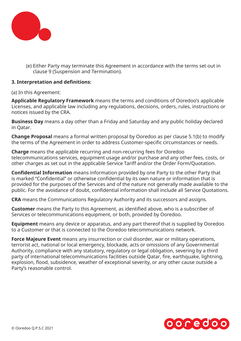

(e) Either Party may terminate this Agreement in accordance with the terms set out in clause 9 (Suspension and Termination).

# **3. Interpretation and definitions:**

(a) In this Agreement:

**Applicable Regulatory Framework** means the terms and conditions of Ooredoo's applicable Licenses, and applicable law including any regulations, decisions, orders, rules, instructions or notices issued by the CRA.

**Business Day** means a day other than a Friday and Saturday and any public holiday declared in Qatar.

**Change Proposal** means a formal written proposal by Ooredoo as per clause 5.1(b) to modify the terms of the Agreement in order to address Customer-specific circumstances or needs.

**Charge** means the applicable recurring and non-recurring fees for Ooredoo telecommunications services, equipment usage and/or purchase and any other fees, costs, or other charges as set out in the applicable Service Tariff and/or the Order Form/Quotation.

**Confidential Information** means information provided by one Party to the other Party that is marked "Confidential" or otherwise confidential by its own nature or information that is provided for the purposes of the Services and of the nature not generally made available to the public. For the avoidance of doubt, confidential information shall include all Service Quotations.

**CRA** means the Communications Regulatory Authority and its successors and assigns.

**Customer** means the Party to this Agreement, as identified above, who is a subscriber of Services or telecommunications equipment, or both, provided by Ooredoo.

**Equipment** means any device or apparatus, and any part thereof that is supplied by Ooredoo to a Customer or that is connected to the Ooredoo telecommunications network.

**Force Majeure Event** means any insurrection or civil disorder, war or military operations, terrorist act, national or local emergency, blockade, acts or omissions of any Governmental Authority, compliance with any statutory, regulatory or legal obligation, severing by a third party of international telecommunications facilities outside Qatar, fire, earthquake, lightning, explosion, flood, subsidence, weather of exceptional severity, or any other cause outside a Party's reasonable control.

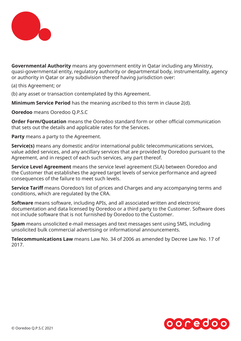

**Governmental Authority** means any government entity in Qatar including any Ministry, quasi-governmental entity, regulatory authority or departmental body, instrumentality, agency or authority in Qatar or any subdivision thereof having jurisdiction over:

(a) this Agreement; or

(b) any asset or transaction contemplated by this Agreement.

**Minimum Service Period** has the meaning ascribed to this term in clause 2(d).

**Ooredoo** means Ooredoo Q.P.S.C

**Order Form/Quotation** means the Ooredoo standard form or other official communication that sets out the details and applicable rates for the Services.

**Party** means a party to the Agreement.

**Service(s)** means any domestic and/or international public telecommunications services, value added services, and any ancillary services that are provided by Ooredoo pursuant to the Agreement, and in respect of each such services, any part thereof.

**Service Level Agreement** means the service level agreement (SLA) between Ooredoo and the Customer that establishes the agreed target levels of service performance and agreed consequences of the failure to meet such levels.

**Service Tariff** means Ooredoo's list of prices and Charges and any accompanying terms and conditions, which are regulated by the CRA.

**Software** means software, including APIs, and all associated written and electronic documentation and data licensed by Ooredoo or a third party to the Customer. Software does not include software that is not furnished by Ooredoo to the Customer.

**Spam** means unsolicited e-mail messages and text messages sent using SMS, including unsolicited bulk commercial advertising or informational announcements.

**Telecommunications Law** means Law No. 34 of 2006 as amended by Decree Law No. 17 of 2017.

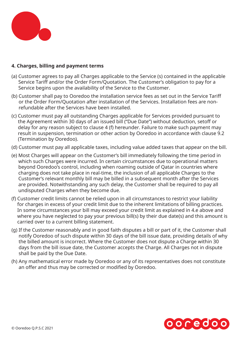

# **4. Charges, billing and payment terms**

- (a) Customer agrees to pay all Charges applicable to the Service (s) contained in the applicable Service Tariff and/or the Order Form/Quotation. The Customer's obligation to pay for a Service begins upon the availability of the Service to the Customer.
- (b) Customer shall pay to Ooredoo the installation service fees as set out in the Service Tariff or the Order Form/Quotation after installation of the Services. Installation fees are nonrefundable after the Services have been installed.
- (c) Customer must pay all outstanding Charges applicable for Services provided pursuant to the Agreement within 30 days of an issued bill ("Due Date") without deduction, setoff or delay for any reason subject to clause 4 (f) hereunder. Failure to make such payment may result in suspension, termination or other action by Ooredoo in accordance with clause 9.2 (Termination by Ooredoo).
- (d) Customer must pay all applicable taxes, including value added taxes that appear on the bill.
- (e) Most Charges will appear on the Customer's bill immediately following the time period in which such Charges were incurred. In certain circumstances due to operational matters beyond Ooredoo's control, including when roaming outside of Qatar in countries where charging does not take place in real-time, the inclusion of all applicable Charges to the Customer's relevant monthly bill may be billed in a subsequent month after the Services are provided. Notwithstanding any such delay, the Customer shall be required to pay all undisputed Charges when they become due.
- (f) Customer credit limits cannot be relied upon in all circumstances to restrict your liability for charges in excess of your credit limit due to the inherent limitations of billing practices. In some circumstances your bill may exceed your credit limit as explained in 4.e above and where you have neglected to pay your previous bill(s) by their due date(s) and this amount is carried over to a current billing statement.
- (g) If the Customer reasonably and in good faith disputes a bill or part of it, the Customer shall notify Ooredoo of such dispute within 30 days of the bill issue date, providing details of why the billed amount is incorrect. Where the Customer does not dispute a Charge within 30 days from the bill issue date, the Customer accepts the Charge. All Charges not in dispute shall be paid by the Due Date.
- (h) Any mathematical error made by Ooredoo or any of its representatives does not constitute an offer and thus may be corrected or modified by Ooredoo.

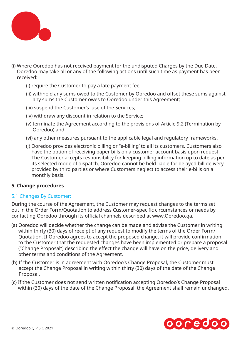

- (i) Where Ooredoo has not received payment for the undisputed Charges by the Due Date, Ooredoo may take all or any of the following actions until such time as payment has been received:
	- (i) require the Customer to pay a late payment fee;
	- (ii) withhold any sums owed to the Customer by Ooredoo and offset these sums against any sums the Customer owes to Ooredoo under this Agreement;
	- (iii) suspend the Customer's use of the Services;
	- (iv) withdraw any discount in relation to the Service;
	- (v) terminate the Agreement according to the provisions of Article 9.2 (Termination by Ooredoo) and
	- (vi) any other measures pursuant to the applicable legal and regulatory frameworks.
	- (j) Ooredoo provides electronic billing or "e-billing' to all its customers. Customers also have the option of receiving paper bills on a customer account basis upon request. The Customer accepts responsibility for keeping billing information up to date as per its selected mode of dispatch. Ooredoo cannot be held liable for delayed bill delivery provided by third parties or where Customers neglect to access their e-bills on a monthly basis.

# **5. Change procedures**

# 5.1 Changes By Customer:

During the course of the Agreement, the Customer may request changes to the terms set out in the Order Form/Quotation to address Customer-specific circumstances or needs by contacting Ooredoo through its official channels described at www.Ooredoo.qa.

- (a) Ooredoo will decide whether the change can be made and advise the Customer in writing within thirty (30) days of receipt of any request to modify the terms of the Order Form/ Quotation. If Ooredoo agrees to accept the proposed change, it will provide confirmation to the Customer that the requested changes have been implemented or prepare a proposal ("Change Proposal") describing the effect the change will have on the price, delivery and other terms and conditions of the Agreement.
- (b) If the Customer is in agreement with Ooredoo's Change Proposal, the Customer must accept the Change Proposal in writing within thirty (30) days of the date of the Change Proposal.
- (c) If the Customer does not send written notification accepting Ooredoo's Change Proposal within (30) days of the date of the Change Proposal, the Agreement shall remain unchanged.

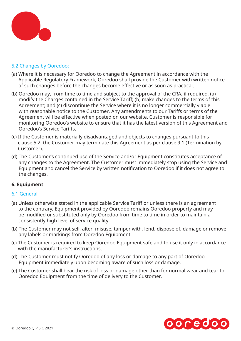

# 5.2 Changes by Ooredoo:

- (a) Where it is necessary for Ooredoo to change the Agreement in accordance with the Applicable Regulatory Framework, Ooredoo shall provide the Customer with written notice of such changes before the changes become effective or as soon as practical.
- (b) Ooredoo may, from time to time and subject to the approval of the CRA, if required, (a) modify the Charges contained in the Service Tariff; (b) make changes to the terms of this Agreement; and (c) discontinue the Service where it is no longer commercially viable with reasonable notice to the Customer. Any amendments to our Tariffs or terms of the Agreement will be effective when posted on our website. Customer is responsible for monitoring Ooredoo's website to ensure that it has the latest version of this Agreement and Ooredoo's Service Tariffs.
- (c) If the Customer is materially disadvantaged and objects to changes pursuant to this clause 5.2, the Customer may terminate this Agreement as per clause 9.1 (Termination by Customer).
- (d) The Customer's continued use of the Service and/or Equipment constitutes acceptance of any changes to the Agreement. The Customer must immediately stop using the Service and Equipment and cancel the Service by written notification to Ooredoo if it does not agree to the changes.

### **6. Equipment**

### 6.1 General

- (a) Unless otherwise stated in the applicable Service Tariff or unless there is an agreement to the contrary, Equipment provided by Ooredoo remains Ooredoo property and may be modified or substituted only by Ooredoo from time to time in order to maintain a consistently high level of service quality.
- (b) The Customer may not sell, alter, misuse, tamper with, lend, dispose of, damage or remove any labels or markings from Ooredoo Equipment.
- (c) The Customer is required to keep Ooredoo Equipment safe and to use it only in accordance with the manufacturer's instructions.
- (d) The Customer must notify Ooredoo of any loss or damage to any part of Ooredoo Equipment immediately upon becoming aware of such loss or damage.
- (e) The Customer shall bear the risk of loss or damage other than for normal wear and tear to Ooredoo Equipment from the time of delivery to the Customer.

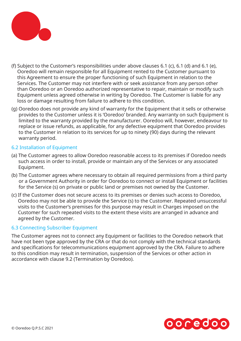

- (f) Subject to the Customer's responsibilities under above clauses 6.1 (c), 6.1 (d) and 6.1 (e), Ooredoo will remain responsible for all Equipment rented to the Customer pursuant to this Agreement to ensure the proper functioning of such Equipment in relation to the Services. The Customer may not interfere with or seek assistance from any person other than Ooredoo or an Ooredoo authorized representative to repair, maintain or modify such Equipment unless agreed otherwise in writing by Ooredoo. The Customer is liable for any loss or damage resulting from failure to adhere to this condition.
- (g) Ooredoo does not provide any kind of warranty for the Equipment that it sells or otherwise provides to the Customer unless it is 'Ooredoo' branded. Any warranty on such Equipment is limited to the warranty provided by the manufacturer. Ooredoo will, however, endeavour to replace or issue refunds, as applicable, for any defective equipment that Ooredoo provides to the Customer in relation to its services for up to ninety (90) days during the relevant warranty period.

### 6.2 Installation of Equipment

- (a) The Customer agrees to allow Ooredoo reasonable access to its premises if Ooredoo needs such access in order to install, provide or maintain any of the Services or any associated Equipment.
- (b) The Customer agrees where necessary to obtain all required permissions from a third party or a Government Authority in order for Ooredoo to connect or install Equipment or facilities for the Service (s) on private or public land or premises not owned by the Customer.
- (c) If the Customer does not secure access to its premises or denies such access to Ooredoo, Ooredoo may not be able to provide the Service (s) to the Customer. Repeated unsuccessful visits to the Customer's premises for this purpose may result in Charges imposed on the Customer for such repeated visits to the extent these visits are arranged in advance and agreed by the Customer.

### 6.3 Connecting Subscriber Equipment

The Customer agrees not to connect any Equipment or facilities to the Ooredoo network that have not been type approved by the CRA or that do not comply with the technical standards and specifications for telecommunications equipment approved by the CRA. Failure to adhere to this condition may result in termination, suspension of the Services or other action in accordance with clause 9.2 (Termination by Ooredoo).

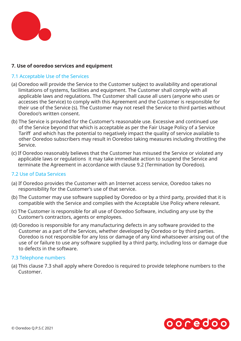

# **7. Use of ooredoo services and equipment**

# 7.1 Acceptable Use of the Services

- (a) Ooredoo will provide the Service to the Customer subject to availability and operational limitations of systems, facilities and equipment. The Customer shall comply with all applicable laws and regulations. The Customer shall cause all users (anyone who uses or accesses the Service) to comply with this Agreement and the Customer is responsible for their use of the Service (s). The Customer may not resell the Service to third parties without Ooredoo's written consent.
- (b) The Service is provided for the Customer's reasonable use. Excessive and continued use of the Service beyond that which is acceptable as per the Fair Usage Policy of a Service Tariff and which has the potential to negatively impact the quality of service available to other Ooredoo subscribers may result in Ooredoo taking measures including throttling the Service.
- (c) If Ooredoo reasonably believes that the Customer has misused the Service or violated any applicable laws or regulations it may take immediate action to suspend the Service and terminate the Agreement in accordance with clause 9.2 (Termination by Ooredoo).

### 7.2 Use of Data Services

- (a) If Ooredoo provides the Customer with an Internet access service, Ooredoo takes no responsibility for the Customer's use of that service.
- (b) The Customer may use software supplied by Ooredoo or by a third party, provided that it is compatible with the Service and complies with the Acceptable Use Policy where relevant.
- (c) The Customer is responsible for all use of Ooredoo Software, including any use by the Customer's contractors, agents or employees.
- (d) Ooredoo is responsible for any manufacturing defects in any software provided to the Customer as a part of the Services, whether developed by Ooredoo or by third parties. Ooredoo is not responsible for any loss or damage of any kind whatsoever arising out of the use of or failure to use any software supplied by a third party, including loss or damage due to defects in the software.

### 7.3 Telephone numbers

(a) This clause 7.3 shall apply where Ooredoo is required to provide telephone numbers to the Customer.

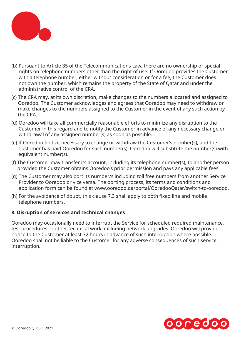

- (b) Pursuant to Article 35 of the Telecommunications Law, there are no ownership or special rights on telephone numbers other than the right of use. If Ooredoo provides the Customer with a telephone number, either without consideration or for a fee, the Customer does not own the number, which remains the property of the State of Qatar and under the administrative control of the CRA.
- (c) The CRA may, at its own discretion, make changes to the numbers allocated and assigned to Ooredoo. The Customer acknowledges and agrees that Ooredoo may need to withdraw or make changes to the numbers assigned to the Customer in the event of any such action by the CRA.
- (d) Ooredoo will take all commercially reasonable efforts to minimize any disruption to the Customer in this regard and to notify the Customer in advance of any necessary change or withdrawal of any assigned number(s) as soon as possible.
- (e) If Ooredoo finds it necessary to change or withdraw the Customer's number(s), and the Customer has paid Ooredoo for such number(s), Ooredoo will substitute the number(s) with equivalent number(s).
- (f) The Customer may transfer its account, including its telephone number(s), to another person provided the Customer obtains Ooredoo's prior permission and pays any applicable fees.
- (g) The Customer may also port its number/s including toll free numbers from another Service Provider to Ooredoo or vice versa. The porting process, its terms and conditions and application form can be found at www.ooredoo.qa/portal/OoredooQatar/switch-to-ooredoo.
- (h) For the avoidance of doubt, this clause 7.3 shall apply to both fixed line and mobile telephone numbers.

### **8. Disruption of services and technical changes**

Ooredoo may occasionally need to interrupt the Service for scheduled required maintenance, test procedures or other technical work, including network upgrades. Ooredoo will provide notice to the Customer at least 72 hours in advance of such interruption where possible. Ooredoo shall not be liable to the Customer for any adverse consequences of such service interruption.

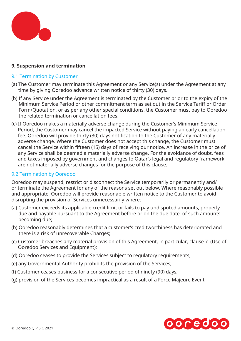

### **9. Suspension and termination**

### 9.1 Termination by Customer

- (a) The Customer may terminate this Agreement or any Service(s) under the Agreement at any time by giving Ooredoo advance written notice of thirty (30) days.
- (b) If any Service under the Agreement is terminated by the Customer prior to the expiry of the Minimum Service Period or other commitment term as set out in the Service Tariff or Order Form/Quotation, or as per any other special conditions, the Customer must pay to Ooredoo the related termination or cancellation fees.
- (c) If Ooredoo makes a materially adverse change during the Customer's Minimum Service Period, the Customer may cancel the impacted Service without paying an early cancellation fee. Ooredoo will provide thirty (30) days notification to the Customer of any materially adverse change. Where the Customer does not accept this change, the Customer must cancel the Service within fifteen (15) days of receiving our notice. An increase in the price of any Service shall be deemed a materially adverse change. For the avoidance of doubt, fees and taxes imposed by government and changes to Qatar's legal and regulatory framework are not materially adverse changes for the purpose of this clause.

# 9.2 Termination by Ooredoo

Ooredoo may suspend, restrict or disconnect the Service temporarily or permanently and/ or terminate the Agreement for any of the reasons set out below. Where reasonably possible and appropriate, Ooredoo will provide reasonable written notice to the Customer to avoid disrupting the provision of Services unnecessarily where:

- (a) Customer exceeds its applicable credit limit or fails to pay undisputed amounts, properly due and payable pursuant to the Agreement before or on the due date of such amounts becoming due;
- (b) Ooredoo reasonably determines that a customer's creditworthiness has deteriorated and there is a risk of unrecoverable Charges;
- (c) Customer breaches any material provision of this Agreement, in particular, clause 7 (Use of Ooredoo Services and Equipment);
- (d) Ooredoo ceases to provide the Services subject to regulatory requirements;
- (e) any Governmental Authority prohibits the provision of the Services;
- (f) Customer ceases business for a consecutive period of ninety (90) days;
- (g) provision of the Services becomes impractical as a result of a Force Majeure Event;

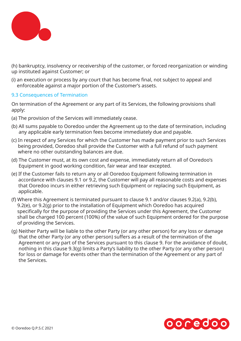

(h) bankruptcy, insolvency or receivership of the customer, or forced reorganization or winding up instituted against Customer; or

(i) an execution or process by any court that has become final, not subject to appeal and enforceable against a major portion of the Customer's assets.

# 9.3 Consequences of Termination

On termination of the Agreement or any part of its Services, the following provisions shall apply:

- (a) The provision of the Services will immediately cease.
- (b) All sums payable to Ooredoo under the Agreement up to the date of termination, including any applicable early termination fees become immediately due and payable.
- (c) In respect of any Services for which the Customer has made payment prior to such Services being provided, Ooredoo shall provide the Customer with a full refund of such payment where no other outstanding balances are due.
- (d) The Customer must, at its own cost and expense, immediately return all of Ooredoo's Equipment in good working condition, fair wear and tear excepted.
- (e) If the Customer fails to return any or all Ooredoo Equipment following termination in accordance with clauses 9.1 or 9.2, the Customer will pay all reasonable costs and expenses that Ooredoo incurs in either retrieving such Equipment or replacing such Equipment, as applicable.
- (f) Where this Agreement is terminated pursuant to clause 9.1 and/or clauses 9.2(a), 9.2(b), 9.2(e), or 9.2(g) prior to the installation of Equipment which Ooredoo has acquired specifically for the purpose of providing the Services under this Agreement, the Customer shall be charged 100 percent (100%) of the value of such Equipment ordered for the purpose of providing the Services.
- (g) Neither Party will be liable to the other Party (or any other person) for any loss or damage that the other Party (or any other person) suffers as a result of the termination of the Agreement or any part of the Services pursuant to this clause 9. For the avoidance of doubt, nothing in this clause 9.3(g) limits a Party's liability to the other Party (or any other person) for loss or damage for events other than the termination of the Agreement or any part of the Services.

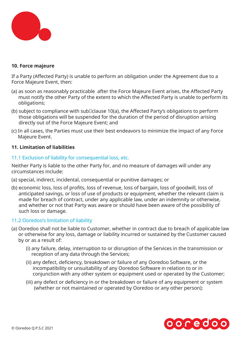

### **10. Force majeure**

If a Party (Affected Party) is unable to perform an obligation under the Agreement due to a Force Majeure Event, then:

- (a) as soon as reasonably practicable after the Force Majeure Event arises, the Affected Party must notify the other Party of the extent to which the Affected Party is unable to perform its obligations;
- (b) subject to compliance with sub $\square$ clause 10(a), the Affected Party's obligations to perform those obligations will be suspended for the duration of the period of disruption arising directly out of the Force Majeure Event; and
- (c) In all cases, the Parties must use their best endeavors to minimize the impact of any Force Majeure Event.

### **11. Limitation of liabilities**

### 11.1 Exclusion of liability for consequential loss, etc.

Neither Party is liable to the other Party for, and no measure of damages will under any circumstances include:

- (a) special, indirect, incidental, consequential or punitive damages; or
- (b) economic loss, loss of profits, loss of revenue, loss of bargain, loss of goodwill, loss of anticipated savings, or loss of use of products or equipment, whether the relevant claim is made for breach of contract, under any applicable law, under an indemnity or otherwise, and whether or not that Party was aware or should have been aware of the possibility of such loss or damage.

### 11.2 Ooredoo's limitation of liability

- (a) Ooredoo shall not be liable to Customer, whether in contract due to breach of applicable law or otherwise for any loss, damage or liability incurred or sustained by the Customer caused by or as a result of:
	- (i) any failure, delay, interruption to or disruption of the Services in the transmission or reception of any data through the Services;
	- (ii) any defect, deficiency, breakdown or failure of any Ooredoo Software, or the incompatibility or unsuitability of any Ooredoo Software in relation to or in conjunction with any other system or equipment used or operated by the Customer;
	- (iii) any defect or deficiency in or the breakdown or failure of any equipment or system (whether or not maintained or operated by Ooredoo or any other person);

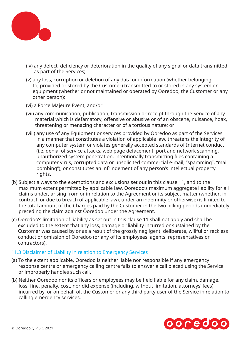

- (iv) any defect, deficiency or deterioration in the quality of any signal or data transmitted as part of the Services;
- (v) any loss, corruption or deletion of any data or information (whether belonging to, provided or stored by the Customer) transmitted to or stored in any system or equipment (whether or not maintained or operated by Ooredoo, the Customer or any other person);
- (vi) a Force Majeure Event; and/or
- (vii) any communication, publication, transmission or receipt through the Service of any material which is defamatory, offensive or abusive or of an obscene, nuisance, hoax, threatening or menacing character or of a tortious nature; or
- (viii) any use of any Equipment or services provided by Ooredoo as part of the Services in a manner that constitutes a violation of applicable law, threatens the integrity of any computer system or violates generally accepted standards of Internet conduct (i.e. denial of service attacks, web page defacement, port and network scanning, unauthorized system penetration, intentionally transmitting files containing a computer virus, corrupted data or unsolicited commercial e-mail, "spamming", "mail bombing"), or constitutes an infringement of any person's intellectual property rights.
- (b) Subject always to the exemptions and exclusions set out in this clause 11, and to the maximum extent permitted by applicable law, Ooredoo's maximum aggregate liability for all claims under, arising from or in relation to the Agreement or its subject matter (whether, in contract, or due to breach of applicable law), under an indemnity or otherwise) is limited to the total amount of the Charges paid by the Customer in the two billing periods immediately preceding the claim against Ooredoo under the Agreement.
- (c) Ooredoo's limitation of liability as set out in this clause 11 shall not apply and shall be excluded to the extent that any loss, damage or liability incurred or sustained by the Customer was caused by or as a result of the grossly negligent, deliberate, willful or reckless conduct or omission of Ooredoo (or any of its employees, agents, representatives or contractors).

### 11.3 Disclaimer of Liability in relation to Emergency Services

- (a) To the extent applicable, Ooredoo is neither liable nor responsible if any emergency response centre or emergency calling centre fails to answer a call placed using the Service or improperly handles such call.
- (b) Neither Ooredoo nor its officers or employees may be held liable for any claim, damage, loss, fine, penalty, cost, nor did expense (including, without limitation, attorneys' fees) incurred by, or on behalf of, the Customer or any third party user of the Service in relation to calling emergency services.

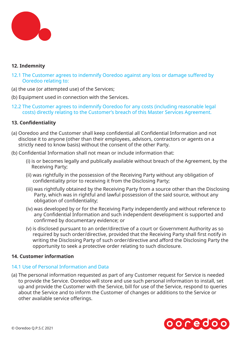

### **12. Indemnity**

- 12.1 The Customer agrees to indemnify Ooredoo against any loss or damage suffered by Ooredoo relating to:
- (a) the use (or attempted use) of the Services;
- (b) Equipment used in connection with the Services.
- 12.2 The Customer agrees to indemnify Ooredoo for any costs (including reasonable legal costs) directly relating to the Customer's breach of this Master Services Agreement.

### **13. Confidentiality**

- (a) Ooredoo and the Customer shall keep confidential all Confidential Information and not disclose it to anyone (other than their employees, advisors, contractors or agents on a strictly need to know basis) without the consent of the other Party.
- (b) Confidential Information shall not mean or include information that:
	- (i) is or becomes legally and publically available without breach of the Agreement, by the Receiving Party;
	- (ii) was rightfully in the possession of the Receiving Party without any obligation of confidentiality prior to receiving it from the Disclosing Party;
	- (iii) was rightfully obtained by the Receiving Party from a source other than the Disclosing Party, which was in rightful and lawful possession of the said source, without any obligation of confidentiality;
	- (iv) was developed by or for the Receiving Party independently and without reference to any Confidential Information and such independent development is supported and confirmed by documentary evidence; or
	- (v) is disclosed pursuant to an order/directive of a court or Government Authority as so required by such order/directive, provided that the Receiving Party shall first notify in writing the Disclosing Party of such order/directive and afford the Disclosing Party the opportunity to seek a protective order relating to such disclosure.

### **14. Customer information**

### 14.1 Use of Personal Information and Data

(a) The personal information requested as part of any Customer request for Service is needed to provide the Service. Ooredoo will store and use such personal information to install, set up and provide the Customer with the Service, bill for use of the Service, respond to queries about the Service and to inform the Customer of changes or additions to the Service or other available service offerings.

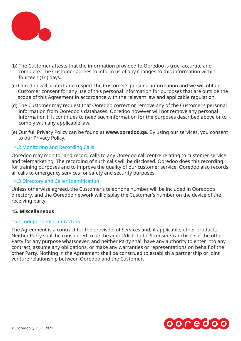

- (b) The Customer attests that the information provided to Ooredoo is true, accurate and complete. The Customer agrees to inform us of any changes to this information within fourteen (14) days.
- (c) Ooredoo will protect and respect the Customer's personal information and we will obtain Customer consent for any use of this personal information for purposes that are outside the scope of this Agreement in accordance with the relevant law and applicable regulation.
- (d) The Customer may request that Ooredoo correct or remove any of the Customer's personal information from Ooredoo's databases. Ooredoo however will not remove any personal information if it continues to need such information for the purposes described above or to comply with any applicable law.
- (e) Our full Privacy Policy can be found at **www.ooredoo.qa**. By using our services, you consent to our Privacy Policy.

# 14.2 Monitoring and Recording Calls

Ooredoo may monitor and record calls to any Ooredoo call centre relating to customer service and telemarketing. The recording of such calls will be disclosed. Ooredoo does this recording for training purposes and to improve the quality of our customer service. Ooredoo also records all calls to emergency services for safety and security purposes.

### 14.3 Directory and Caller Identification

Unless otherwise agreed, the Customer's telephone number will be included in Ooredoo's directory, and the Ooredoo network will display the Customer's number on the device of the receiving party.

### **15. Miscellaneous**

### 15.1 Independent Contractors

The Agreement is a contract for the provision of Services and, if applicable, other products. Neither Party shall be considered to be the agent/distributor/licensee/franchisee of the other Party for any purpose whatsoever, and neither Party shall have any authority to enter into any contract, assume any obligations, or make any warranties or representations on behalf of the other Party. Nothing in the Agreement shall be construed to establish a partnership or joint venture relationship between Ooredoo and the Customer.

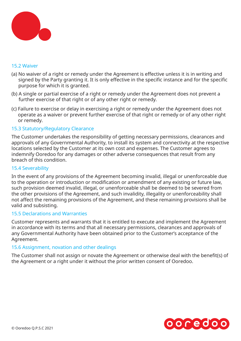

### 15.2 Waiver

- (a) No waiver of a right or remedy under the Agreement is effective unless it is in writing and signed by the Party granting it. It is only effective in the specific instance and for the specific purpose for which it is granted.
- (b) A single or partial exercise of a right or remedy under the Agreement does not prevent a further exercise of that right or of any other right or remedy.
- (c) Failure to exercise or delay in exercising a right or remedy under the Agreement does not operate as a waiver or prevent further exercise of that right or remedy or of any other right or remedy.

### 15.3 Statutory/Regulatory Clearance

The Customer undertakes the responsibility of getting necessary permissions, clearances and approvals of any Governmental Authority, to install its system and connectivity at the respective locations selected by the Customer at its own cost and expenses. The Customer agrees to indemnify Ooredoo for any damages or other adverse consequences that result from any breach of this condition.

### 15.4 Severability

In the event of any provisions of the Agreement becoming invalid, illegal or unenforceable due to the operation or introduction or modification or amendment of any existing or future law, such provision deemed invalid, illegal, or unenforceable shall be deemed to be severed from the other provisions of the Agreement, and such invalidity, illegality or unenforceability shall not affect the remaining provisions of the Agreement, and these remaining provisions shall be valid and subsisting.

### 15.5 Declarations and Warranties

Customer represents and warrants that it is entitled to execute and implement the Agreement in accordance with its terms and that all necessary permissions, clearances and approvals of any Governmental Authority have been obtained prior to the Customer's acceptance of the Agreement.

### 15.6 Assignment, novation and other dealings

The Customer shall not assign or novate the Agreement or otherwise deal with the benefit(s) of the Agreement or a right under it without the prior written consent of Ooredoo.